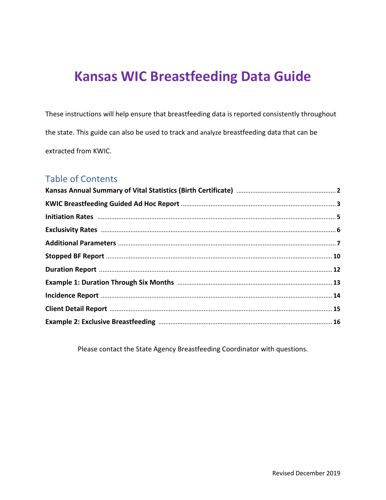These instructions will help ensure that breastfeeding data is reported consistently throughout the state. This guide can also be used to track and analyze breastfeeding data that can be extracted from KWIC.

### Table of Contents

Please contact the State Agency Breastfeeding Coordinator with questions.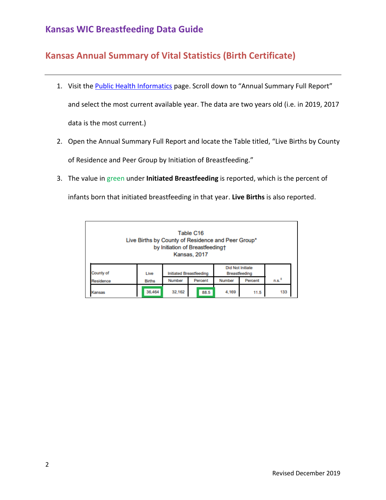### **Kansas Annual Summary of Vital Statistics (Birth Certificate)**

- 1. Visit th[e Public Health Informatics](http://www.kdheks.gov/phi/) page. Scroll down to "Annual Summary Full Report" and select the most current available year. The data are two years old (i.e. in 2019, 2017 data is the most current.)
- 2. Open the Annual Summary Full Report and locate the Table titled, "Live Births by County of Residence and Peer Group by Initiation of Breastfeeding."
- 3. The value in green under **Initiated Breastfeeding** is reported, which is the percent of infants born that initiated breastfeeding in that year. **Live Births** is also reported.

| Table C16<br>Live Births by County of Residence and Peer Group*<br>by Initiation of Breastfeedingt<br>Kansas, 2017 |               |        |                                                                     |        |         |                   |  |  |  |
|--------------------------------------------------------------------------------------------------------------------|---------------|--------|---------------------------------------------------------------------|--------|---------|-------------------|--|--|--|
| County of                                                                                                          | Live          |        | <b>Did Not Initiate</b><br>Initiated Breastfeeding<br>Breastfeeding |        |         |                   |  |  |  |
| Residence                                                                                                          | <b>Births</b> | Number | Percent                                                             | Number | Percent | n.s. <sup>†</sup> |  |  |  |
| Kansas                                                                                                             | 36,464        | 32.162 | 88.5                                                                | 4.169  | 11.5    | 133               |  |  |  |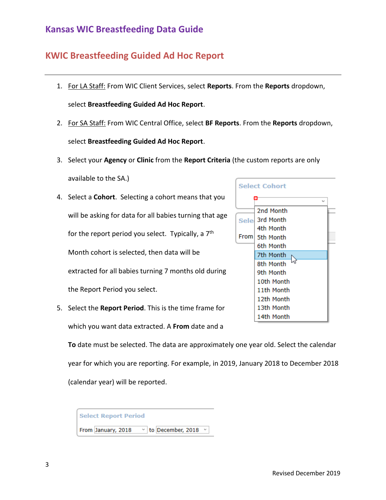#### **KWIC Breastfeeding Guided Ad Hoc Report**

- 1. For LA Staff: From WIC Client Services, select **Reports**. From the **Reports** dropdown, select **Breastfeeding Guided Ad Hoc Report**.
- 2. For SA Staff: From WIC Central Office, select **BF Reports**. From the **Reports** dropdown, select **Breastfeeding Guided Ad Hoc Report**.
- 3. Select your **Agency** or **Clinic** from the **Report Criteria** (the custom reports are only

available to the SA.)

- 4. Select a **Cohort**. Selecting a cohort means that you will be asking for data for all babies turning that age for the report period you select. Typically, a  $7<sup>th</sup>$ Month cohort is selected, then data will be extracted for all babies turning 7 months old during the Report Period you select.
- 5. Select the **Report Period**. This is the time frame for which you want data extracted. A **From** date and a

**To** date must be selected. The data are approximately one year old. Select the calendar year for which you are reporting. For example, in 2019, January 2018 to December 2018 (calendar year) will be reported.

| Select Report Period |                          |  |  |  |  |  |  |  |
|----------------------|--------------------------|--|--|--|--|--|--|--|
| From January, 2018   | $\vee$ to December, 2018 |  |  |  |  |  |  |  |

|             | <b>Select Cohort</b> |  |
|-------------|----------------------|--|
|             | ٠<br>w               |  |
|             | 2nd Month            |  |
| <b>Sele</b> | 3rd Month            |  |
|             | 4th Month            |  |
| From        | 5th Month            |  |
|             | 6th Month            |  |
|             | 7th Month            |  |
|             | 8th Month            |  |
|             | 9th Month            |  |
|             | 10th Month           |  |
|             | 11th Month           |  |
|             | 12th Month           |  |
|             | 13th Month           |  |
|             | 14th Month           |  |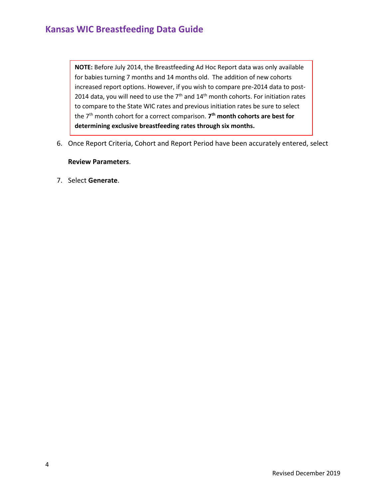**NOTE:** Before July 2014, the Breastfeeding Ad Hoc Report data was only available for babies turning 7 months and 14 months old. The addition of new cohorts increased report options. However, if you wish to compare pre-2014 data to post-2014 data, you will need to use the  $7<sup>th</sup>$  and  $14<sup>th</sup>$  month cohorts. For initiation rates to compare to the State WIC rates and previous initiation rates be sure to select the 7th month cohort for a correct comparison. **7 th month cohorts are best for determining exclusive breastfeeding rates through six months.**

6. Once Report Criteria, Cohort and Report Period have been accurately entered, select

#### **Review Parameters**.

7. Select **Generate**.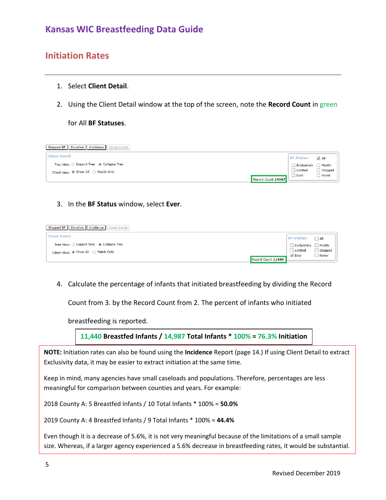#### **Initiation Rates**

- 1. Select **Client Detail**.
- 2. Using the Client Detail window at the top of the screen, note the **Record Count** in green

#### for All **BF Statuses**.



#### 3. In the **BF Status** window, select **Ever**.

| Stopped BF   Duration   Incidence   Client Detail |                    |              |
|---------------------------------------------------|--------------------|--------------|
| <b>Client Detail</b>                              | <b>BF Status:</b>  | $\Box$ All   |
| Tree View: O Expand Tree @ Collapse Tree          | Exclusively Mostly |              |
| Client View: ◉ Show All ○ Match Only              | Limited            | Stopped      |
| Record Count 11440                                | $\sqrt{ }$ Ever    | $\Box$ Never |

4. Calculate the percentage of infants that initiated breastfeeding by dividing the Record

Count from 3. by the Record Count from 2. The percent of infants who initiated

breastfeeding is reported.

**11,440 Breastfed Infants / 14,987 Total Infants \* 100% = 76.3% Initiation**

**NOTE:** Initiation rates can also be found using the **Incidence** Report (page 14.) If using Client Detail to extract Exclusivity data, it may be easier to extract initiation at the same time.

Keep in mind, many agencies have small caseloads and populations. Therefore, percentages are less meaningful for comparison between counties and years. For example:

2018 County A: 5 Breastfed Infants / 10 Total Infants \* 100% = **50.0%**

2019 County A: 4 Breastfed Infants / 9 Total Infants \* 100% = **44.4%**

Even though it is a decrease of 5.6%, it is not very meaningful because of the limitations of a small sample size. Whereas, if a larger agency experienced a 5.6% decrease in breastfeeding rates, it would be substantial.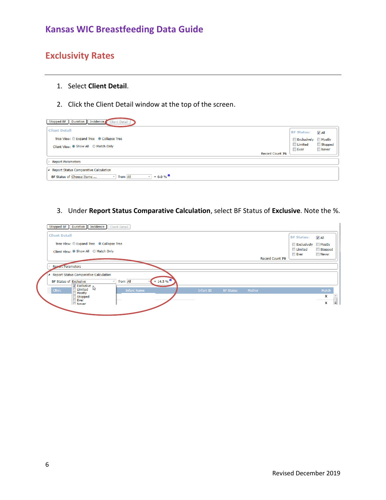# **Exclusivity Rates**

#### 1. Select **Client Detail**.

2. Click the Client Detail window at the top of the screen.

| Stopped BF   Duration   Incidence   Client Detail                             |                    |                    |
|-------------------------------------------------------------------------------|--------------------|--------------------|
| <b>Client Detail</b>                                                          | <b>BF Status:</b>  | $\overline{V}$ All |
| Tree View: C Expand Tree C Collapse Tree                                      | Exclusively Mostly |                    |
| Client View: O Show All O Match Only                                          | <b>Limited</b>     | Stopped            |
| Record Count 76                                                               | <b>Ever</b>        | Never              |
| <b>Report Parameters</b>                                                      |                    |                    |
| A Report Status Comparative Calculation                                       |                    |                    |
| $= 0.0 \%$<br>BF Status of Choose Items<br>from All<br>$\sim$<br>$\mathbf{v}$ |                    |                    |

#### 3. Under **Report Status Comparative Calculation**, select BF Status of **Exclusive**. Note the %.

| <b>Client Detail</b>                                                   |           |                  |                        | <b>BF Status:</b>  | $J$ All |
|------------------------------------------------------------------------|-----------|------------------|------------------------|--------------------|---------|
| Tree View: C Expand Tree C Collapse Tree                               |           |                  |                        | Exclusively Mostly |         |
| Client View: O Show All O Match Only                                   |           |                  |                        | Limited            | Stopped |
|                                                                        |           |                  | <b>Record Count 76</b> | $\Box$ Ever        | Never   |
| Report Parameters                                                      |           |                  |                        |                    |         |
| <b>Report Status Comparative Calculation</b>                           |           |                  |                        |                    |         |
| $t = 14.5 \%$<br>from All<br>BF Status of Exclusive                    |           |                  |                        |                    |         |
| $\nabla$ Exclusive $\downarrow$<br><b>Clinic</b><br><b>Infant Name</b> | Infant ID | <b>BF Status</b> | Mother                 |                    | Match   |
| Mostly<br>Stopped                                                      |           |                  |                        |                    | x       |
| Ever<br><b>Never</b>                                                   |           |                  |                        |                    | x       |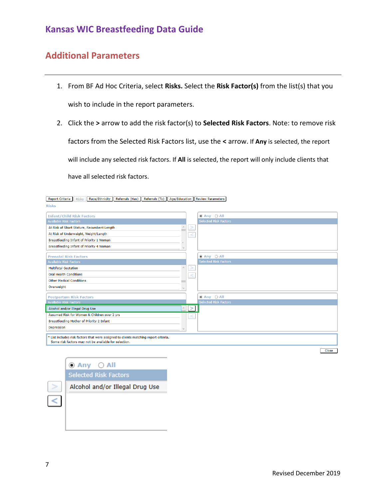#### **Additional Parameters**

- 1. From BF Ad Hoc Criteria, select **Risks.** Select the **Risk Factor(s)** from the list(s) that you wish to include in the report parameters.
- 2. Click the **>** arrow to add the risk factor(s) to **Selected Risk Factors**. Note: to remove risk factors from the Selected Risk Factors list, use the **<** arrow. If **Any** is selected, the report will include any selected risk factors. If **All** is selected, the report will only include clients that have all selected risk factors.

| Report Criteria<br>Race/Ethnicity   Referrals (Has)   Referrals (To)   Age/Education   Review Parameters<br><b>Risks</b> |        |                                                         |
|--------------------------------------------------------------------------------------------------------------------------|--------|---------------------------------------------------------|
| <b>Risks</b>                                                                                                             |        |                                                         |
|                                                                                                                          |        |                                                         |
| <b>Infant/Child Risk Factors</b>                                                                                         |        | $\odot$ Any $\odot$ All<br><b>Selected Risk Factors</b> |
| <b>Available Risk Factors</b>                                                                                            |        |                                                         |
| At Risk of Short Stature, Recumbent Length                                                                               | $\geq$ |                                                         |
| At Risk of Underweight, Weight/Length                                                                                    |        |                                                         |
| Breastfeeding Infant of Priority 1 Woman                                                                                 |        |                                                         |
| Breastfeeding Infant of Priority 4 Woman                                                                                 |        |                                                         |
|                                                                                                                          |        |                                                         |
| <b>Prenatal Risk Factors</b>                                                                                             |        | $@$ Any $@$ All<br><b>Selected Risk Factors</b>         |
| <b>Available Risk Factors</b>                                                                                            |        |                                                         |
| <b>Multifetal Gestation</b>                                                                                              | >      |                                                         |
| <b>Oral Health Conditions</b>                                                                                            |        |                                                         |
| <b>Other Medical Conditions</b>                                                                                          |        |                                                         |
| Overweight                                                                                                               |        |                                                         |
|                                                                                                                          |        |                                                         |
| <b>Postpartum Risk Factors</b><br><b>Available Risk Factors</b>                                                          |        | $\odot$ Any $\odot$ All<br><b>Selected Risk Factors</b> |
|                                                                                                                          |        |                                                         |
| Alcohol and/or Illegal Drug Use<br>$\wedge$                                                                              | $\geq$ |                                                         |
| Assumed Risk for Women & Children over 2 yrs                                                                             |        |                                                         |
| Breastfeeding Mother of Priority 2 Infant                                                                                |        |                                                         |
| Depression                                                                                                               |        |                                                         |
| * List includes risk factors that were assigned to clients matching report criteria.                                     |        |                                                         |
| Some risk factors may not be available for selection.                                                                    |        |                                                         |
|                                                                                                                          |        |                                                         |
|                                                                                                                          |        | Close                                                   |

 $\odot$  Any  $\odot$  All Selected Risk Factors Alcohol and/or Illegal Drug Use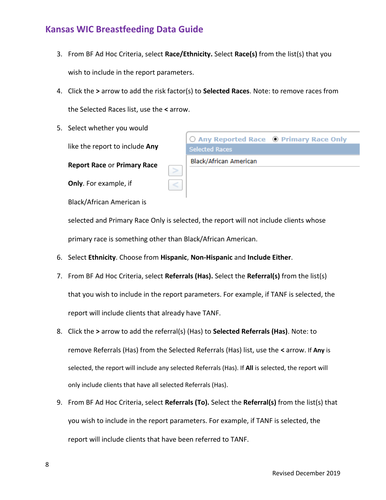- 3. From BF Ad Hoc Criteria, select **Race/Ethnicity.** Select **Race(s)** from the list(s) that you wish to include in the report parameters.
- 4. Click the **>** arrow to add the risk factor(s) to **Selected Races**. Note: to remove races from the Selected Races list, use the **<** arrow.
- 5. Select whether you would

like the report to include **Any** 

**Report Race** or **Primary Race** 

**Only**. For example, if

○ Any Reported Race ● Primary Race Only **Selected Races** Black/African American

Black/African American is

selected and Primary Race Only is selected, the report will not include clients whose primary race is something other than Black/African American.

- 6. Select **Ethnicity**. Choose from **Hispanic**, **Non-Hispanic** and **Include Either**.
- 7. From BF Ad Hoc Criteria, select **Referrals (Has).** Select the **Referral(s)** from the list(s) that you wish to include in the report parameters. For example, if TANF is selected, the report will include clients that already have TANF.
- 8. Click the **>** arrow to add the referral(s) (Has) to **Selected Referrals (Has)**. Note: to remove Referrals (Has) from the Selected Referrals (Has) list, use the **<** arrow. If **Any** is selected, the report will include any selected Referrals (Has). If **All** is selected, the report will only include clients that have all selected Referrals (Has).
- 9. From BF Ad Hoc Criteria, select **Referrals (To).** Select the **Referral(s)** from the list(s) that you wish to include in the report parameters. For example, if TANF is selected, the report will include clients that have been referred to TANF.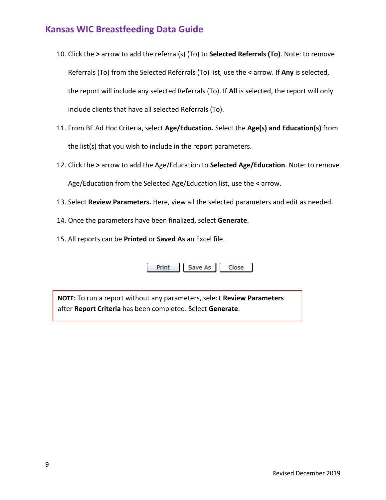- 10. Click the **>** arrow to add the referral(s) (To) to **Selected Referrals (To)**. Note: to remove Referrals (To) from the Selected Referrals (To) list, use the **<** arrow. If **Any** is selected, the report will include any selected Referrals (To). If **All** is selected, the report will only include clients that have all selected Referrals (To).
- 11. From BF Ad Hoc Criteria, select **Age/Education.** Select the **Age(s) and Education(s)** from the list(s) that you wish to include in the report parameters.
- 12. Click the **>** arrow to add the Age/Education to **Selected Age/Education**. Note: to remove Age/Education from the Selected Age/Education list, use the **<** arrow.
- 13. Select **Review Parameters.** Here, view all the selected parameters and edit as needed.
- 14. Once the parameters have been finalized, select **Generate**.
- 15. All reports can be **Printed** or **Saved As** an Excel file.

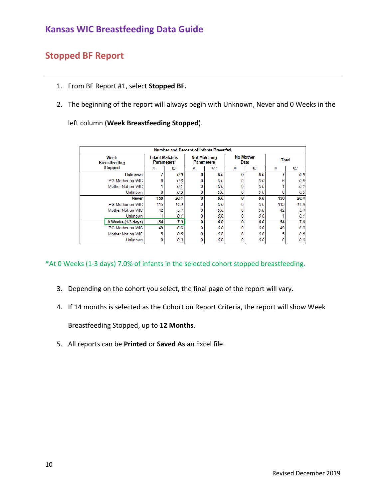#### **Stopped BF Report**

- 1. From BF Report #1, select **Stopped BF.**
- 2. The beginning of the report will always begin with Unknown, Never and 0 Weeks in the

left column (**Week Breastfeeding Stopped**).

|                              | <b>Number and Percent of Infants Breastfed</b> |       |   |                                          |   |                          |     |       |  |  |
|------------------------------|------------------------------------------------|-------|---|------------------------------------------|---|--------------------------|-----|-------|--|--|
| Week<br><b>Breastfeeding</b> | <b>Infant Matches</b><br><b>Parameters</b>     |       |   | <b>Not Matching</b><br><b>Parameters</b> |   | <b>No Mother</b><br>Data |     | Total |  |  |
| <b>Stopped</b>               | #                                              | $%$ * | # | $%$ *                                    | # | $%$ *                    | #   | $%$ * |  |  |
| <b>Unknown</b>               |                                                | 0.9   | 0 | 0.0                                      | O | 0.0                      |     | 0.9   |  |  |
| PG Mother on WIC             |                                                | 0.8   | 0 | 0.0                                      |   | 0.0                      | ĥ   | 0.8   |  |  |
| Mother Not on WIC            |                                                | 0.1   | 0 | 0.0                                      |   | 0.0                      |     | 0.1   |  |  |
| <b>Unknown</b>               |                                                | 0.0   | 0 | 0.0                                      |   | 0.0                      |     | 0.0   |  |  |
| <b>Never</b>                 | 158                                            | 20.4  | 0 | 0.0                                      | 0 | 0.0                      | 158 | 20.4  |  |  |
| PG Mother on WIC             | 115                                            | 14.9  | 0 | 0.0                                      |   | 0.0                      | 115 | 14.9  |  |  |
| Mother Not on WIC            | 42                                             | 5.4   | 0 | 0.0                                      |   | 0.0                      | 42  | 5.4   |  |  |
| <b>Unknown</b>               |                                                | 0.1   | 0 | 0.0                                      |   | 0.0                      |     | 0.1   |  |  |
| 0 Weeks (1-3 days)           | 54                                             | 7.0   | 0 | 0.0                                      | U | 0.0                      | 54  | 7.0   |  |  |
| PG Mother on WIC             | 49                                             | 6.3   | 0 | 0.0                                      |   | 0.0                      | 49  | 6.3   |  |  |
| Mother Not on WIC            | 5                                              | 0.6   | 0 | 0.0                                      |   | 0.0                      | 5   | 0.6   |  |  |
| <b>Unknown</b>               |                                                | 0.0   | 0 | 0.0                                      |   | 0.0                      |     | 0.0   |  |  |

\*At 0 Weeks (1-3 days) 7.0% of infants in the selected cohort stopped breastfeeding.

- 3. Depending on the cohort you select, the final page of the report will vary.
- 4. If 14 months is selected as the Cohort on Report Criteria, the report will show Week

Breastfeeding Stopped, up to **12 Months**.

5. All reports can be **Printed** or **Saved As** an Excel file.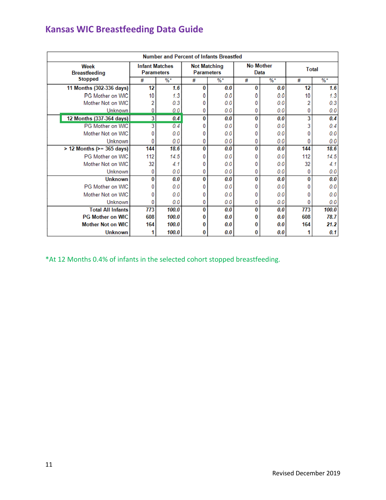| <b>Number and Percent of Infants Breastfed</b> |                                            |       |                                          |                 |   |                          |     |                 |  |
|------------------------------------------------|--------------------------------------------|-------|------------------------------------------|-----------------|---|--------------------------|-----|-----------------|--|
| Week<br><b>Breastfeeding</b>                   | <b>Infant Matches</b><br><b>Parameters</b> |       | <b>Not Matching</b><br><b>Parameters</b> |                 |   | <b>No Mother</b><br>Data |     | <b>Total</b>    |  |
| <b>Stopped</b>                                 | #                                          | %*    | #                                        | $\frac{9}{6}$ * | # | $%$ *                    |     | $\frac{9}{6}$ * |  |
| 11 Months (302-336 days)                       | 12                                         | 1.6   | 0                                        | 0.0             | 0 | 0.0                      | 12  | 1.6             |  |
| PG Mother on WIC                               | 10                                         | 1.3   | 0                                        | 0.0             |   | 0.0                      | 10  | 1.3             |  |
| Mother Not on WIC                              | 2                                          | 0.3   | 0                                        | 0.0             |   | 0.0                      | 2   | 0.3             |  |
| Unknown                                        | 0                                          | 0.0   | 0                                        | 0.0             | 0 | 0.0                      | 0   | 0.0             |  |
| 12 Months (337-364 days)                       | $\overline{\mathbf{3}}$                    | 0.4   | 0                                        | 0.0             | 0 | 0.0                      | 3   | 0.4             |  |
| PG Mother on WIC                               | 3                                          | 0.4   | 0                                        | 0.0             |   | 0.0                      | 3   | 0.4             |  |
| Mother Not on WIC                              | Ω                                          | 0.0   | 0                                        | 0.0             |   | 0.0                      |     | 0.0             |  |
| Unknown                                        | 0                                          | 0.0   | 0                                        | 0.0             | 0 | 0.0                      |     | 0.0             |  |
| $> 12$ Months ( $> = 365$ days)                | 144                                        | 18.6  | 0                                        | 0.0             | 0 | 0.0                      | 144 | 18.6            |  |
| PG Mother on WIC                               | 112                                        | 14.5  | 0                                        | 0.0             | n | 0.0                      | 112 | 14.5            |  |
| Mother Not on WIC                              | 32                                         | 4.1   | 0                                        | 0.0             |   | 0.0                      | 32  | 4.1             |  |
| Unknown                                        | 0                                          | 0.0   | 0                                        | 0.0             | 0 | 0.0                      | 0   | 0.0             |  |
| <b>Unknown</b>                                 | 0                                          | 0.0   | $\bf{0}$                                 | 0.0             | 0 | 0.0                      | 0   | 0.0             |  |
| PG Mother on WIC                               | 0                                          | 0.0   | 0                                        | 0.0             | n | 0.0                      |     | 0.0             |  |
| Mother Not on WIC                              | 0                                          | 0.0   | 0                                        | 0.0             | 0 | 0.0                      |     | 0.0             |  |
| Unknown                                        | 0                                          | 0.0   | 0                                        | 0.0             | 0 | 0.0                      | 0   | 0.0             |  |
| <b>Total All Infants</b>                       | 773                                        | 100.0 | $\bf{0}$                                 | 0.0             | 0 | 0.0                      | 773 | 100.0           |  |
| <b>PG Mother on WIC</b>                        | 608                                        | 100.0 | 0                                        | 0.0             | o | 0.0                      | 608 | 78.7            |  |
| <b>Mother Not on WIC</b>                       | 164                                        | 100.0 | 0                                        | 0.0             |   | 0.0                      | 164 | 21.2            |  |
| <b>Unknown</b>                                 |                                            | 100.0 | 0                                        | 0.0             | 0 | 0.0                      |     | 0.1             |  |

\*At 12 Months 0.4% of infants in the selected cohort stopped breastfeeding.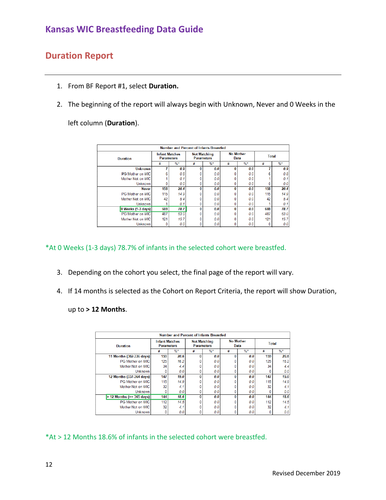#### **Duration Report**

- 1. From BF Report #1, select **Duration.**
- 2. The beginning of the report will always begin with Unknown, Never and 0 Weeks in the

left column (**Duration**).

| Number and Percent of Infants Breastfed |       |                                            |                 |                                          |       |                          |                                                       |  |  |
|-----------------------------------------|-------|--------------------------------------------|-----------------|------------------------------------------|-------|--------------------------|-------------------------------------------------------|--|--|
|                                         |       |                                            |                 |                                          |       |                          | <b>Total</b>                                          |  |  |
| #                                       | $%$ * | #                                          | $\frac{9}{6}$ * | #                                        | $%$ * | #                        | $\%$ *                                                |  |  |
|                                         | 0.9   | O                                          | 0.0             | $\Omega$                                 | 0.0   | 7                        | 0.9                                                   |  |  |
| 6                                       | 0.8   |                                            | 0.0             |                                          |       |                          | 0.8                                                   |  |  |
|                                         | 0.1   |                                            | 0.0             |                                          | 0.0   |                          | 0.1                                                   |  |  |
|                                         | 0.0   | 0                                          | 0.0             |                                          |       |                          | 0.0                                                   |  |  |
| 158                                     | 20.4  | 0                                          | 0.0             | 0                                        | 0.0   | 158                      | 20.4                                                  |  |  |
| 115                                     | 14.9  |                                            | 0.0             |                                          |       | 115                      | 14.9                                                  |  |  |
| 42                                      | 5.4   |                                            | 0.0             |                                          |       | 42                       | 5.4                                                   |  |  |
|                                         | 0.1   | 0                                          | 0.0             |                                          |       |                          | 0.1                                                   |  |  |
| 608                                     | 78.7  | 0                                          | 0.0             | $\mathbf{0}$                             | 0.0   | 608                      | 78.7                                                  |  |  |
| 487                                     | 63.0  |                                            | 0.0             |                                          |       | 487                      | 63.0                                                  |  |  |
| 121                                     | 15.7  |                                            | 0.0             |                                          |       | 121                      | 15.7                                                  |  |  |
|                                         | 0.0   | 0                                          | 0.0             |                                          |       |                          | 0.0                                                   |  |  |
|                                         |       | <b>Infant Matches</b><br><b>Parameters</b> |                 | <b>Not Matching</b><br><b>Parameters</b> |       | <b>No Mother</b><br>Data | 0.01<br>0.0<br>0.0<br>0.0<br>0.0<br>0.0<br>0.0<br>0.0 |  |  |

\*At 0 Weeks (1-3 days) 78.7% of infants in the selected cohort were breastfed.

- 3. Depending on the cohort you select, the final page of the report will vary.
- 4. If 14 months is selected as the Cohort on Report Criteria, the report will show Duration,

up to **> 12 Months**.

| Number and Percent of Infants Breastfed |                                            |                 |   |                                          |   |                          |     |                 |  |
|-----------------------------------------|--------------------------------------------|-----------------|---|------------------------------------------|---|--------------------------|-----|-----------------|--|
| <b>Duration</b>                         | <b>Infant Matches</b><br><b>Parameters</b> |                 |   | <b>Not Matching</b><br><b>Parameters</b> |   | <b>No Mother</b><br>Data |     | <b>Total</b>    |  |
|                                         | #                                          | $\frac{9}{6}$ * | # | $\frac{9}{6}$ *                          | # | $%$ *                    | #   | $\frac{9}{6}$ * |  |
| 11 Months (302-336 days)                | 159                                        | 20.6            | 0 | 0.0                                      | O | 0.0                      | 159 | 20.6            |  |
| <b>PG Mother on WIC</b>                 | 125                                        | 16.2            |   | 0.0                                      |   | 0.0                      | 125 | 16.2            |  |
| Mother Not on WIC                       | 34                                         | 4.4             | 0 | 0.0                                      |   | 0.0                      | 34  | 4.4             |  |
| <b>Unknown</b>                          | $\Omega$                                   | 0.0             | 0 | 0.0                                      |   | 0.0                      | n   | 0.0             |  |
| 12 Months (337-364 days)                | 147                                        | 19.0            | 0 | 0.0                                      | O | 0.0                      | 147 | 19.0            |  |
| <b>PG Mother on WIC</b>                 | 115                                        | 14.9            | 0 | 0.0                                      |   | 0.0                      | 115 | 14.9            |  |
| Mother Not on WIC                       | 32                                         | 4.1             | 0 | 0.0                                      |   | 0.0                      | 32  | 4.1             |  |
| <b>Unknown</b>                          | $\mathbf{0}$                               | 0.0             | 0 | 0.0                                      |   | 0.0                      | 0   | 0.0             |  |
| 12 Months $(>= 365 \text{ days})$<br>>  | 144                                        | 18.6            | 0 | 0.0                                      | O | 0.0                      | 144 | 18.6            |  |
| PG Mother on WIC                        | 112                                        | 14.5            | 0 | 0.0                                      |   | 0.0                      | 112 | 14.5            |  |
| Mother Not on WIC                       | 32                                         | 4.1             | 0 | 0.0                                      |   | 0.0                      | 32  | 4.1             |  |
| Unknown                                 | 0                                          | 0.0             | 0 | 0.0                                      |   | 0.0                      | 0   | 0.0             |  |

\*At > 12 Months 18.6% of infants in the selected cohort were breastfed.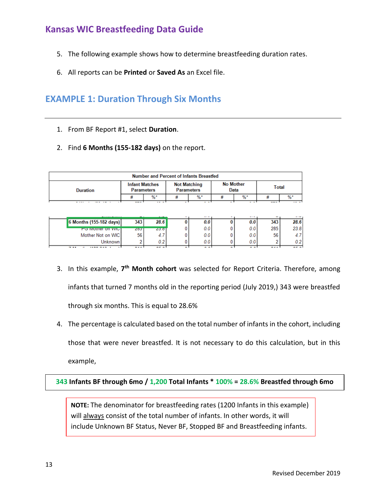- 5. The following example shows how to determine breastfeeding duration rates.
- 6. All reports can be **Printed** or **Saved As** an Excel file.

### **EXAMPLE 1: Duration Through Six Months**

- 1. From BF Report #1, select **Duration**.
- 2. Find **6 Months (155-182 days)** on the report.

| <b>Number and Percent of Infants Breastfed</b> |                                            |       |                                          |       |                          |       |       |       |
|------------------------------------------------|--------------------------------------------|-------|------------------------------------------|-------|--------------------------|-------|-------|-------|
| Duration                                       | <b>Infant Matches</b><br><b>Parameters</b> |       | <b>Not Matching</b><br><b>Parameters</b> |       | <b>No Mother</b><br>Data |       | Total |       |
|                                                |                                            | $%$ * |                                          | $%$ * |                          | $%$ * |       | $%$ * |
|                                                |                                            |       |                                          |       |                          |       |       |       |

| ------------            |            |                             |        |                      |     |     |     |       |
|-------------------------|------------|-----------------------------|--------|----------------------|-----|-----|-----|-------|
| 6 Months (155-182 days) | 343        | 28.6                        |        | 0.0                  |     | 0.0 | 343 | 28.6  |
| <b>PG MOMER ON VICT</b> | <b>ZOJ</b> | 23.01                       |        | 0.0                  |     | 0.0 | 285 | 23.8  |
| Mother Not on WIC       | 56         | -4.                         |        | 0.0                  |     | 0.0 | 56  |       |
| Unknown                 |            | v.z                         |        |                      |     | 0.0 |     | 0.2 I |
| $\frac{1}{2}$<br>- - -  | .          | $\sim$ $\sim$ $\sim$ $\sim$ | $\sim$ | $\sim$ $\sim$ $\sim$ | . . | . . |     | on al |

- 3. In this example, **7 th Month cohort** was selected for Report Criteria. Therefore, among infants that turned 7 months old in the reporting period (July 2019,) 343 were breastfed through six months. This is equal to 28.6%
- 4. The percentage is calculated based on the total number of infants in the cohort, including those that were never breastfed. It is not necessary to do this calculation, but in this example,

**343 Infants BF through 6mo / 1,200 Total Infants \* 100% = 28.6% Breastfed through 6mo**

**NOTE:** The denominator for breastfeeding rates (1200 Infants in this example) will always consist of the total number of infants. In other words, it will include Unknown BF Status, Never BF, Stopped BF and Breastfeeding infants.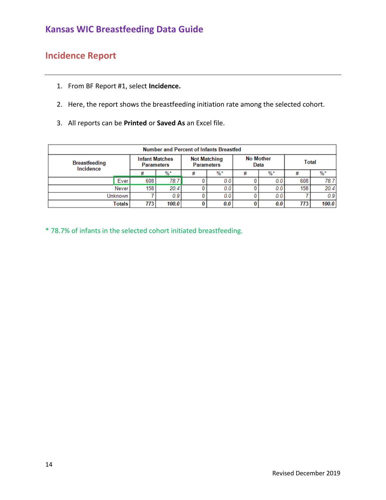# **Incidence Report**

- 1. From BF Report #1, select **Incidence.**
- 2. Here, the report shows the breastfeeding initiation rate among the selected cohort.
- 3. All reports can be **Printed** or **Saved As** an Excel file.

| <b>Number and Percent of Infants Breastfed</b> |                |                                            |       |                                          |       |                          |       |       |       |
|------------------------------------------------|----------------|--------------------------------------------|-------|------------------------------------------|-------|--------------------------|-------|-------|-------|
| <b>Breastfeeding</b><br>Incidence              |                | <b>Infant Matches</b><br><b>Parameters</b> |       | <b>Not Matching</b><br><b>Parameters</b> |       | <b>No Mother</b><br>Data |       | Total |       |
|                                                |                | #                                          | %*    | #                                        | $%$ * |                          | $%$ * | #     | %*    |
|                                                | Ever           | 608                                        | 78.7  |                                          | 0.0   |                          | 0.0   | 608   | 78.7  |
|                                                | Never          | 158                                        | 20.4  |                                          | 0.0   |                          | 0.01  | 158   | 20.4  |
|                                                | <b>Unknown</b> |                                            | 0.9   |                                          | 0.0   |                          | 0.0   |       | 0.9   |
|                                                | Totals         | 7731                                       | 100.0 |                                          | 0.0   |                          | 0.0   | 773   | 100.0 |

\* 78.7% of infants in the selected cohort initiated breastfeeding.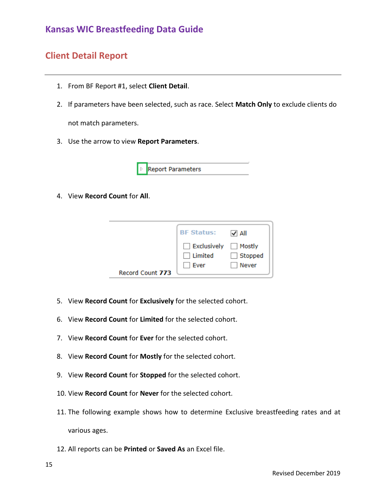#### **Client Detail Report**

- 1. From BF Report #1, select **Client Detail**.
- 2. If parameters have been selected, such as race. Select **Match Only** to exclude clients do

not match parameters.

3. Use the arrow to view **Report Parameters**.



4. View **Record Count** for **All**.

|                  | <b>BF Status:</b>                                          | $\vee$ All              |
|------------------|------------------------------------------------------------|-------------------------|
|                  | $\Box$ Exclusively $\Box$ Mostly<br>$\Box$ Limited<br>Ever | $\Box$ Stopped<br>Never |
| Record Count 773 |                                                            |                         |

- 5. View **Record Count** for **Exclusively** for the selected cohort.
- 6. View **Record Count** for **Limited** for the selected cohort.
- 7. View **Record Count** for **Ever** for the selected cohort.
- 8. View **Record Count** for **Mostly** for the selected cohort.
- 9. View **Record Count** for **Stopped** for the selected cohort.
- 10. View **Record Count** for **Never** for the selected cohort.
- 11. The following example shows how to determine Exclusive breastfeeding rates and at various ages.
- 12. All reports can be **Printed** or **Saved As** an Excel file.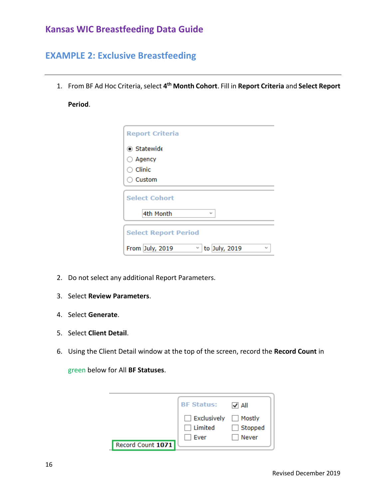#### **EXAMPLE 2: Exclusive Breastfeeding**

1. From BF Ad Hoc Criteria, select **4 th Month Cohort**. Fill in **Report Criteria** and **Select Report** 

#### **Period**.

| <b>Report Criteria</b>                                            |
|-------------------------------------------------------------------|
| <b>◎ Statewide</b>                                                |
| $\bigcirc$ Agency                                                 |
| $\circ$ Clinic                                                    |
| ○ Custom                                                          |
| <b>Select Cohort</b>                                              |
| 4th Month<br>$\sim$                                               |
| <b>Select Report Period</b>                                       |
| From July, 2019<br>to July, 2019<br>ν<br>$\overline{\phantom{a}}$ |

- 2. Do not select any additional Report Parameters.
- 3. Select **Review Parameters**.
- 4. Select **Generate**.
- 5. Select **Client Detail**.
- 6. Using the Client Detail window at the top of the screen, record the **Record Count** in

green below for All **BF Statuses**.

|                   | <b>BF Status:</b>      | $\sqrt{ \mathsf{All} }$ |
|-------------------|------------------------|-------------------------|
|                   | Exclusively Mostly     |                         |
|                   | $\Box$ Limited<br>Ever | $\Box$ Stopped<br>Never |
| Record Count 1071 |                        |                         |